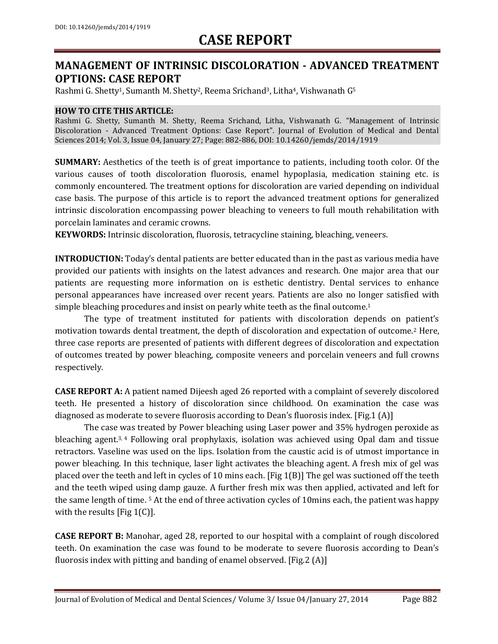### **MANAGEMENT OF INTRINSIC DISCOLORATION - ADVANCED TREATMENT OPTIONS: CASE REPORT**

Rashmi G. Shetty<sup>1</sup>, Sumanth M. Shetty<sup>2</sup>, Reema Srichand<sup>3</sup>, Litha<sup>4</sup>, Vishwanath G<sup>5</sup>

#### **HOW TO CITE THIS ARTICLE:**

Rashmi G. Shetty, Sumanth M. Shetty, Reema Srichand, Litha, Vishwanath G. "Management of Intrinsic Discoloration - Advanced Treatment Options: Case Report". Journal of Evolution of Medical and Dental Sciences 2014; Vol. 3, Issue 04, January 27; Page: 882-886, DOI: 10.14260/jemds/2014/1919

**SUMMARY:** Aesthetics of the teeth is of great importance to patients, including tooth color. Of the various causes of tooth discoloration fluorosis, enamel hypoplasia, medication staining etc. is commonly encountered. The treatment options for discoloration are varied depending on individual case basis. The purpose of this article is to report the advanced treatment options for generalized intrinsic discoloration encompassing power bleaching to veneers to full mouth rehabilitation with porcelain laminates and ceramic crowns.

**KEYWORDS:** Intrinsic discoloration, fluorosis, tetracycline staining, bleaching, veneers.

**INTRODUCTION:** Today's dental patients are better educated than in the past as various media have provided our patients with insights on the latest advances and research. One major area that our patients are requesting more information on is esthetic dentistry. Dental services to enhance personal appearances have increased over recent years. Patients are also no longer satisfied with simple bleaching procedures and insist on pearly white teeth as the final outcome.<sup>1</sup>

The type of treatment instituted for patients with discoloration depends on patient's motivation towards dental treatment, the depth of discoloration and expectation of outcome.<sup>2</sup> Here, three case reports are presented of patients with different degrees of discoloration and expectation of outcomes treated by power bleaching, composite veneers and porcelain veneers and full crowns respectively.

**CASE REPORT A:** A patient named Dijeesh aged 26 reported with a complaint of severely discolored teeth. He presented a history of discoloration since childhood. On examination the case was diagnosed as moderate to severe fluorosis according to Dean's fluorosis index. [Fig.1 (A)]

The case was treated by Power bleaching using Laser power and 35% hydrogen peroxide as bleaching agent.<sup>3, 4</sup> Following oral prophylaxis, isolation was achieved using Opal dam and tissue retractors. Vaseline was used on the lips. Isolation from the caustic acid is of utmost importance in power bleaching. In this technique, laser light activates the bleaching agent. A fresh mix of gel was placed over the teeth and left in cycles of 10 mins each. [Fig 1(B)] The gel was suctioned off the teeth and the teeth wiped using damp gauze. A further fresh mix was then applied, activated and left for the same length of time. <sup>5</sup> At the end of three activation cycles of 10mins each, the patient was happy with the results [Fig 1(C)].

**CASE REPORT B:** Manohar, aged 28, reported to our hospital with a complaint of rough discolored teeth. On examination the case was found to be moderate to severe fluorosis according to Dean's fluorosis index with pitting and banding of enamel observed. [Fig.2 (A)]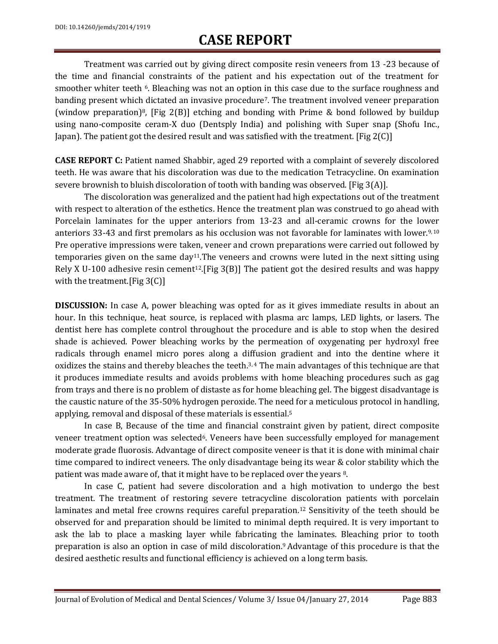Treatment was carried out by giving direct composite resin veneers from 13 -23 because of the time and financial constraints of the patient and his expectation out of the treatment for smoother whiter teeth  $\epsilon$ . Bleaching was not an option in this case due to the surface roughness and banding present which dictated an invasive procedure<sup>7</sup>. The treatment involved veneer preparation (window preparation)<sup>8</sup>, [Fig 2(B)] etching and bonding with Prime & bond followed by buildup using nano-composite ceram-X duo (Dentsply India) and polishing with Super snap (Shofu Inc., Japan). The patient got the desired result and was satisfied with the treatment. [Fig  $2(C)$ ]

**CASE REPORT C:** Patient named Shabbir, aged 29 reported with a complaint of severely discolored teeth. He was aware that his discoloration was due to the medication Tetracycline. On examination severe brownish to bluish discoloration of tooth with banding was observed. [Fig 3(A)].

The discoloration was generalized and the patient had high expectations out of the treatment with respect to alteration of the esthetics. Hence the treatment plan was construed to go ahead with Porcelain laminates for the upper anteriors from 13-23 and all-ceramic crowns for the lower anteriors 33-43 and first premolars as his occlusion was not favorable for laminates with lower.<sup>9, 10</sup> Pre operative impressions were taken, veneer and crown preparations were carried out followed by temporaries given on the same day<sup>11</sup>. The veneers and crowns were luted in the next sitting using Rely X U-100 adhesive resin cement<sup>12</sup>. [Fig 3(B)] The patient got the desired results and was happy with the treatment.[Fig 3(C)]

**DISCUSSION:** In case A, power bleaching was opted for as it gives immediate results in about an hour. In this technique, heat source, is replaced with plasma arc lamps, LED lights, or lasers. The dentist here has complete control throughout the procedure and is able to stop when the desired shade is achieved. Power bleaching works by the permeation of oxygenating per hydroxyl free radicals through enamel micro pores along a diffusion gradient and into the dentine where it oxidizes the stains and thereby bleaches the teeth.3, 4 The main advantages of this technique are that it produces immediate results and avoids problems with home bleaching procedures such as gag from trays and there is no problem of distaste as for home bleaching gel. The biggest disadvantage is the caustic nature of the 35-50% hydrogen peroxide. The need for a meticulous protocol in handling, applying, removal and disposal of these materials is essential.<sup>5</sup>

In case B, Because of the time and financial constraint given by patient, direct composite veneer treatment option was selected<sup>6</sup>. Veneers have been successfully employed for management moderate grade fluorosis. Advantage of direct composite veneer is that it is done with minimal chair time compared to indirect veneers. The only disadvantage being its wear & color stability which the patient was made aware of, that it might have to be replaced over the years 8.

In case C, patient had severe discoloration and a high motivation to undergo the best treatment. The treatment of restoring severe tetracycline discoloration patients with porcelain laminates and metal free crowns requires careful preparation.<sup>12</sup> Sensitivity of the teeth should be observed for and preparation should be limited to minimal depth required. It is very important to ask the lab to place a masking layer while fabricating the laminates. Bleaching prior to tooth preparation is also an option in case of mild discoloration.9 Advantage of this procedure is that the desired aesthetic results and functional efficiency is achieved on a long term basis.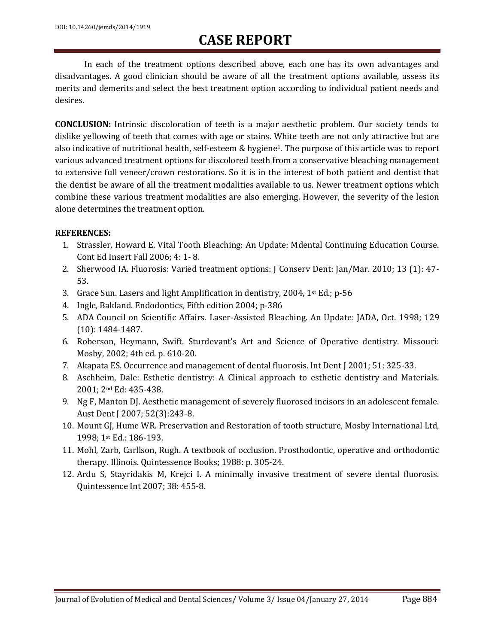In each of the treatment options described above, each one has its own advantages and disadvantages. A good clinician should be aware of all the treatment options available, assess its merits and demerits and select the best treatment option according to individual patient needs and desires.

**CONCLUSION:** Intrinsic discoloration of teeth is a major aesthetic problem. Our society tends to dislike yellowing of teeth that comes with age or stains. White teeth are not only attractive but are also indicative of nutritional health, self-esteem & hygiene1. The purpose of this article was to report various advanced treatment options for discolored teeth from a conservative bleaching management to extensive full veneer/crown restorations. So it is in the interest of both patient and dentist that the dentist be aware of all the treatment modalities available to us. Newer treatment options which combine these various treatment modalities are also emerging. However, the severity of the lesion alone determines the treatment option.

#### **REFERENCES:**

- 1. Strassler, Howard E. Vital Tooth Bleaching: An Update: Mdental Continuing Education Course. Cont Ed Insert Fall 2006; 4: 1- 8.
- 2. Sherwood IA. Fluorosis: Varied treatment options: J Conserv Dent: Jan/Mar. 2010; 13 (1): 47- 53.
- 3. Grace Sun. Lasers and light Amplification in dentistry, 2004,  $1^{st}$  Ed.; p-56
- 4. Ingle, Bakland. Endodontics, Fifth edition 2004; p-386
- 5. ADA Council on Scientific Affairs. Laser-Assisted Bleaching. An Update: JADA, Oct. 1998; 129 (10): 1484-1487.
- 6. Roberson, Heymann, Swift. Sturdevant's Art and Science of Operative dentistry. Missouri: Mosby, 2002; 4th ed. p. 610-20.
- 7. Akapata ES. Occurrence and management of dental fluorosis. Int Dent J 2001; 51: 325-33.
- 8. Aschheim, Dale: Esthetic dentistry: A Clinical approach to esthetic dentistry and Materials. 2001; 2nd Ed: 435-438.
- 9. Ng F, Manton DJ. Aesthetic management of severely fluorosed incisors in an adolescent female. Aust Dent J 2007; 52(3):243-8.
- 10. Mount GJ, Hume WR. Preservation and Restoration of tooth structure, Mosby International Ltd, 1998; 1st Ed.: 186-193.
- 11. Mohl, Zarb, Carllson, Rugh. A textbook of occlusion. Prosthodontic, operative and orthodontic therapy. Illinois. Quintessence Books; 1988: p. 305-24.
- 12. Ardu S, Stayridakis M, Krejci I. A minimally invasive treatment of severe dental fluorosis. Quintessence Int 2007; 38: 455-8.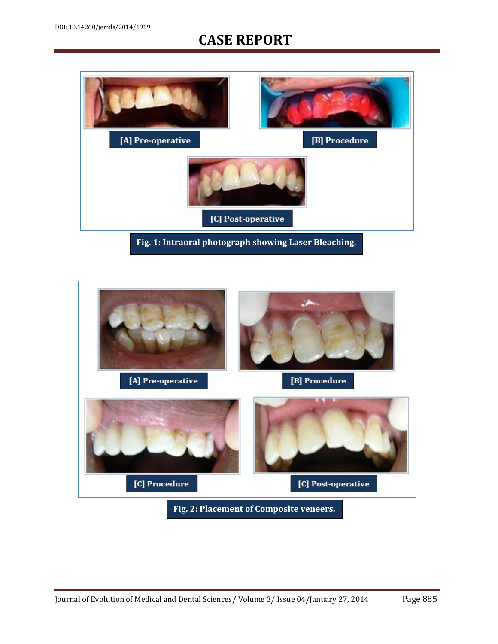